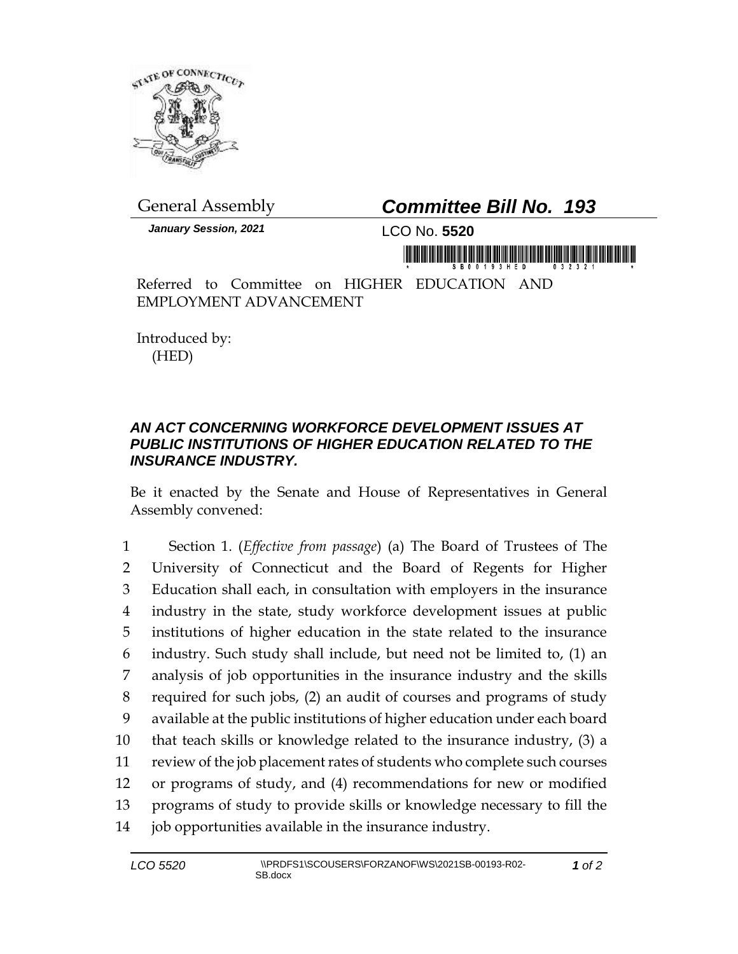

*January Session, 2021* LCO No. **5520**

## General Assembly *Committee Bill No. 193*

in mornină de în înirêdină de în mornidă

Referred to Committee on HIGHER EDUCATION AND EMPLOYMENT ADVANCEMENT

Introduced by: (HED)

## *AN ACT CONCERNING WORKFORCE DEVELOPMENT ISSUES AT PUBLIC INSTITUTIONS OF HIGHER EDUCATION RELATED TO THE INSURANCE INDUSTRY.*

Be it enacted by the Senate and House of Representatives in General Assembly convened:

 Section 1. (*Effective from passage*) (a) The Board of Trustees of The University of Connecticut and the Board of Regents for Higher Education shall each, in consultation with employers in the insurance industry in the state, study workforce development issues at public institutions of higher education in the state related to the insurance industry. Such study shall include, but need not be limited to, (1) an analysis of job opportunities in the insurance industry and the skills required for such jobs, (2) an audit of courses and programs of study available at the public institutions of higher education under each board that teach skills or knowledge related to the insurance industry, (3) a review of the job placement rates of students who complete such courses or programs of study, and (4) recommendations for new or modified programs of study to provide skills or knowledge necessary to fill the job opportunities available in the insurance industry.

*1 of 2*